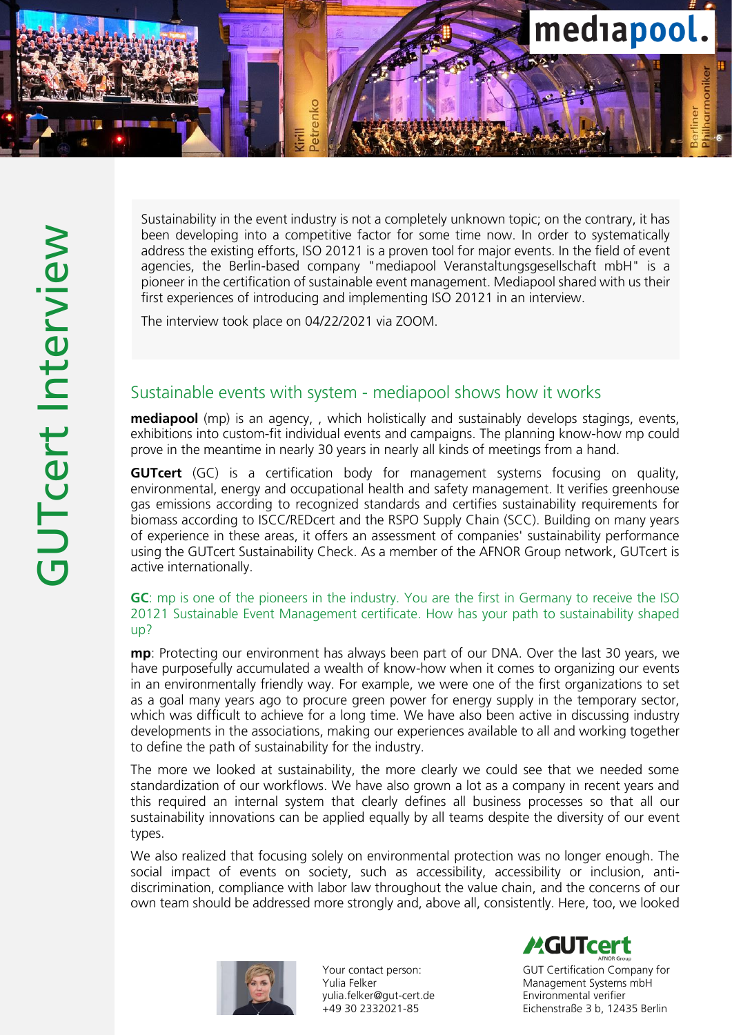

Sustainability in the event industry is not a completely unknown topic; on the contrary, it has been developing into a competitive factor for some time now. In order to systematically address the existing efforts, ISO 20121 is a proven tool for major events. In the field of event agencies, the Berlin -based company "mediapool Veranstaltungsgesellschaft mbH" is a pioneer in the certification of sustainable event management. Mediapool shared with us their first experiences of introducing and implementing ISO 20121 in an interview.

The interview took place on 04/22/2021 via ZOOM.

# Sustainable events with system - mediapool shows how it works

**mediapool** (mp) is an agency,, which holistically and sustainably develops stagings, events, exhibitions into custom-fit individual events and campaigns. The planning know-how mp could prove in the meantime in nearly 30 years in nearly all kinds of meetings from a hand.

**GUTcert** (GC) is a certification body for management systems focusing on quality, environmental, energy and occupational health and safety management. It verifies greenhouse gas emissions according to recognized standards and certifies sustainability requirements for biomass according to ISCC/REDcert and the RSPO Supply Chain (SCC). Building on many years of experience in these areas, it offers an assessment of companies' sustainability performance using the GUTcert Sustainability Check. As a member of the AFNOR Group network, GUTcert is active internationally.

### GC: mp is one of the pioneers in the industry. You are the first in Germany to receive the ISO 20121 Sustainable Event Management certificate. How has your path to sustainability shaped up?

mp: Protecting our environment has always been part of our DNA. Over the last 30 years, we have purposefully accumulated a wealth of know -how when it comes to organizing our events in an environmentally friendly way. For example, we were one of the first organizations to set as a goal many years ago to procure green power for energy supply in the temporary sector, which was difficult to achieve for a long time. We have also been active in discussing industry developments in the associations, making our experiences available to all and working together to define the path of sustainability for the industry.

The more we looked at sustainability, the more clearly we could see that we needed some standardization of our workflows. We have also grown a lot as a company in recent years and this required an internal system that clearly defines all business processes so that all our sustainability innovations can be applied equally by all teams despite the diversity of our event types.

We also realized that focusing solely on environmental protection was no longer enough. The social impact of events on society, such as accessibility, accessibility or inclusion, anti discrimination, compliance with labor law throughout the value chain, and the concerns of our own team should be addressed more strongly and, above all, consistently. Here, too, we looked



Your contact person: Yulia Felker yulia.felker@gut -cert.de +49 30 2332021 -85

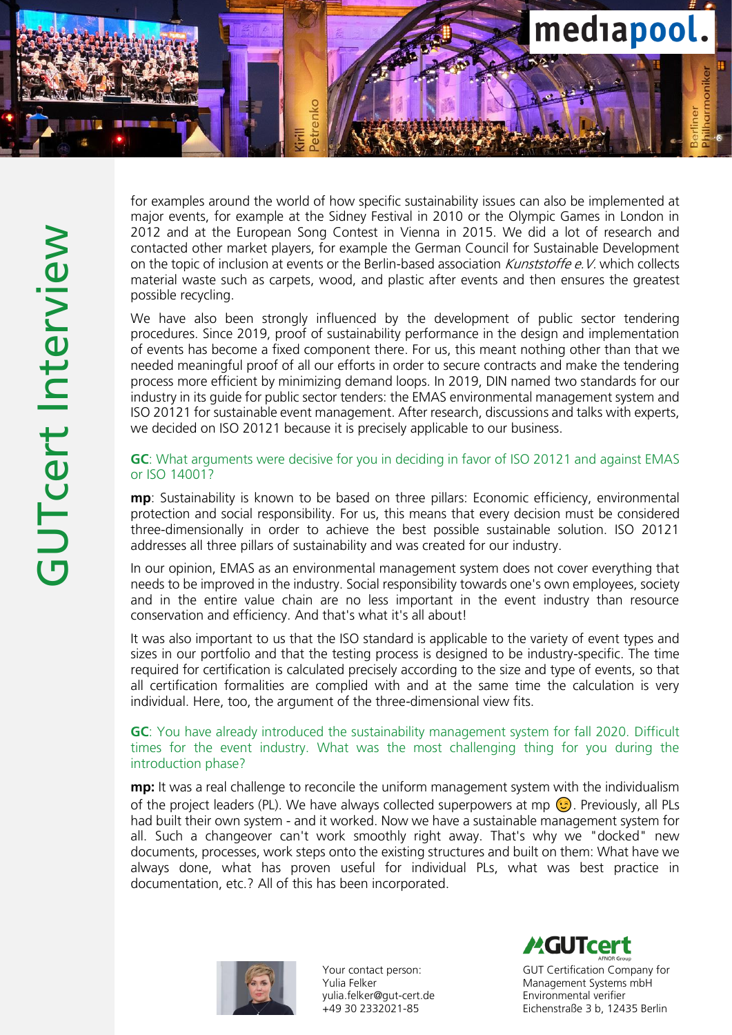

for examples around the world of how specific sustainability issues can also be implemented at major events, for example at the Sidney Festival in 2010 or the Olympic Games in London in 2012 and at the European Song Contest in Vienna in 2015. We did a lot of research and contacted other market players, for example the German Council for Sustainable Development on the topic of inclusion at events or the Berlin-based association *Kunststoffe e.V.* which collects material waste such as carpets, wood, and plastic after events and then ensures the greatest possible recycling.

We have also been strongly influenced by the development of public sector tendering procedures. Since 2019, proof of sustainability performance in the design and implementation of events has become a fixed component there. For us, this meant nothing other than that we needed meaningful proof of all our efforts in order to secure contracts and make the tendering process more efficient by minimizing demand loops. In 2019, DIN named two standards for our industry in its guide for public sector tenders: the EMAS environmental management system and ISO 20121 for sustainable event management. After research, discussions and talks with experts, we decided on ISO 20121 because it is precisely applicable to our business.

### GC: What arguments were decisive for you in deciding in favor of ISO 20121 and against EMAS or ISO 14001?

mp: Sustainability is known to be based on three pillars: Economic efficiency, environmental protection and social responsibility. For us, this means that every decision must be considered three -dimensionally in order to achieve the best possible sustainable solution. ISO 20121 addresses all three pillars of sustainability and was created for our industry.

In our opinion, EMAS as an environmental management system does not cover everything that needs to be improved in the industry. Social responsibility towards one's own employees, society and in the entire value chain are no less important in the event industry than resource conservation and efficiency. And that's what it's all about!

It was also important to us that the ISO standard is applicable to the variety of event types and sizes in our portfolio and that the testing process is designed to be industry -specific. The time required for certification is calculated precisely according to the size and type of events, so that all certification formalities are complied with and at the same time the calculation is very individual. Here, too, the argument of the three -dimensional view fits.

### GC: You have already introduced the sustainability management system for fall 2020. Difficult times for the event industry. What was the most challenging thing for you during the introduction phase?

**mp:** It was a real challenge to reconcile the uniform management system with the individualism of the project leaders (PL). We have always collected superpowers at mp  $\odot$  Previously, all PLs had built their own system - and it worked. Now we have a sustainable management system for all. Such a changeover can't work smoothly right away. That's why we "docked" new documents, processes, work steps onto the existing structures and built on them: What have we always done, what has proven useful for individual PLs, what was best practice in documentation, etc.? All of this has been incorporated.



Your contact person: Yulia Felker yulia.felker@gut -cert.de +49 30 2332021 -85

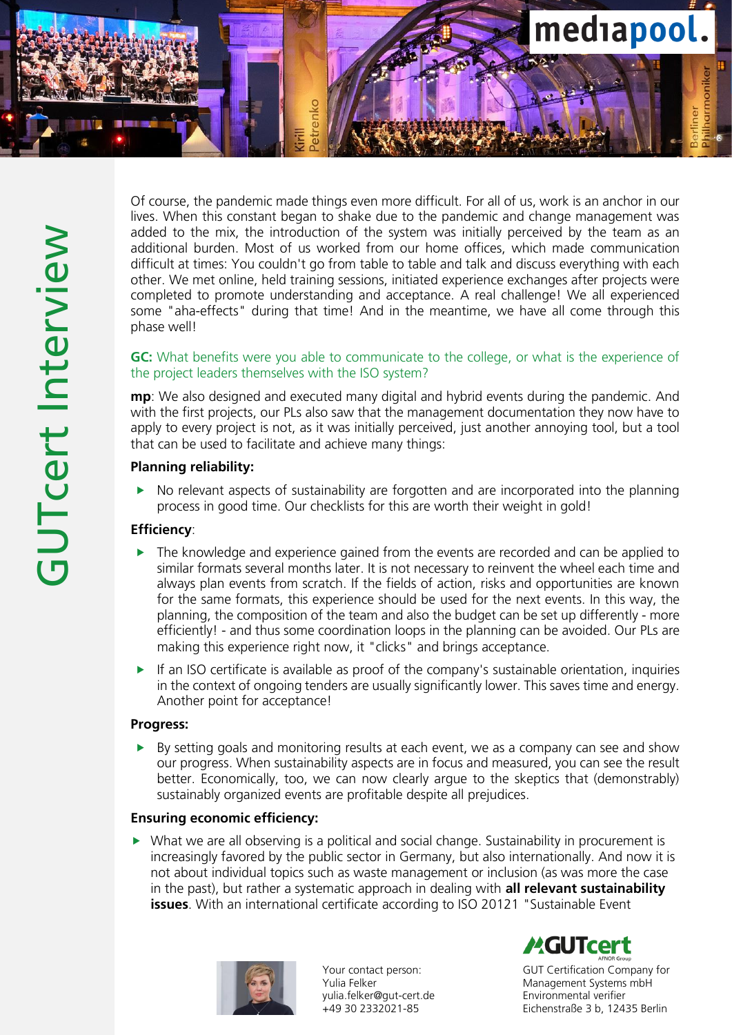

Of course, the pandemic made things even more difficult. For all of us, work is an anchor in our lives. When this constant began to shake due to the pandemic and change management was added to the mix, the introduction of the system was initially perceived by the team as an additional burden. Most of us worked from our home offices, which made communication difficult at times: You couldn't go from table to table and talk and discuss everything with each other. We met online, held training sessions, initiated experience exchanges after projects were completed to promote understanding and acceptance. A real challenge! We all experienced some "aha -effects" during that time! And in the meantime, we have all come through this phase well!

# GC: What benefits were you able to communicate to the college, or what is the experience of the project leaders themselves with the ISO system?

mp: We also designed and executed many digital and hybrid events during the pandemic. And with the first projects, our PLs also saw that the management documentation they now have to apply to every project is not, as it was initially perceived, just another annoying tool, but a tool that can be used to facilitate and achieve many things:

# Planning reliability:

 No relevant aspects of sustainability are forgotten and are incorporated into the planning process in good time. Our checklists for this are worth their weight in gold!

### Efficiency:

- The knowledge and experience gained from the events are recorded and can be applied to similar formats several months later. It is not necessary to reinvent the wheel each time and always plan events from scratch. If the fields of action, risks and opportunities are known for the same formats, this experience should be used for the next events. In this way, the planning, the composition of the team and also the budget can be set up differently - more efficiently! - and thus some coordination loops in the planning can be avoided. Our PLs are making this experience right now, it "clicks" and brings acceptance.
- If an ISO certificate is available as proof of the company's sustainable orientation, inquiries in the context of ongoing tenders are usually significantly lower. This saves time and energy. Another point for acceptance!

### Progress:

 By setting goals and monitoring results at each event, we as a company can see and show our progress. When sustainability aspects are in focus and measured, you can see the result better. Economically, too, we can now clearly argue to the skeptics that (demonstrably) sustainably organized events are profitable despite all prejudices.

### Ensuring economic efficiency:

 $\triangleright$  What we are all observing is a political and social change. Sustainability in procurement is increasingly favored by the public sector in Germany, but also internationally. And now it is not about individual topics such as waste management or inclusion (as was more the case in the past), but rather a systematic approach in dealing with **all relevant sustainability issues**. With an international certificate according to ISO 20121 "Sustainable Event



Your contact person: Yulia Felker yulia.felker@gut -cert.de +49 30 2332021 -85

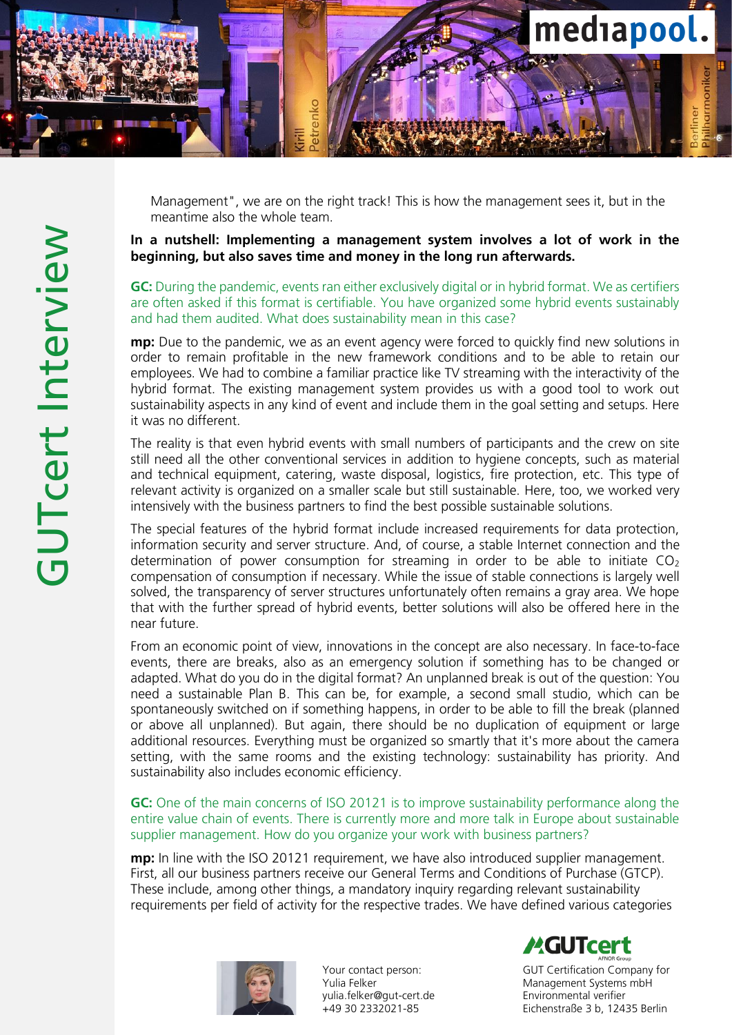

Management", we are on the right track! This is how the management sees it, but in the meantime also the whole team.

# In a nutshell: Implementing a management system involves a lot of work in the beginning, but also saves time and money in the long run afterwards.

GC: During the pandemic, events ran either exclusively digital or in hybrid format. We as certifiers are often asked if this format is certifiable. You have organized some hybrid events sustainably and had them audited. What does sustainability mean in this case?

**mp:** Due to the pandemic, we as an event agency were forced to quickly find new solutions in order to remain profitable in the new framework conditions and to be able to retain our employees. We had to combine a familiar practice like TV streaming with the interactivity of the hybrid format. The existing management system provides us with a good tool to work out sustainability aspects in any kind of event and include them in the goal setting and setups. Here it was no different.

The reality is that even hybrid events with small numbers of participants and the crew on site still need all the other conventional services in addition to hygiene concepts, such as material and technical equipment, catering, waste disposal, logistics, fire protection, etc. This type of relevant activity is organized on a smaller scale but still sustainable. Here, too, we worked very intensively with the business partners to find the best possible sustainable solutions.

The special features of the hybrid format include increased requirements for data protection, information security and server structure. And, of course, a stable Internet connection and the determination of power consumption for streaming in order to be able to initiate  $CO<sub>2</sub>$ compensation of consumption if necessary. While the issue of stable connections is largely well solved, the transparency of server structures unfortunately often remains a gray area. We hope that with the further spread of hybrid events, better solutions will also be offered here in the near future.

From an economic point of view, innovations in the concept are also necessary. In face-to-face events, there are breaks, also as an emergency solution if something has to be changed or adapted. What do you do in the digital format? An unplanned break is out of the question: You need a sustainable Plan B. This can be, for example, a second small studio, which can be spontaneously switched on if something happens, in order to be able to fill the break (planned or above all unplanned). But again, there should be no duplication of equipment or large additional resources. Everything must be organized so smartly that it's more about the camera setting, with the same rooms and the existing technology: sustainability has priority. And sustainability also includes economic efficiency.

GC: One of the main concerns of ISO 20121 is to improve sustainability performance along the entire value chain of events. There is currently more and more talk in Europe about sustainable supplier management. How do you organize your work with business partners?

**mp:** In line with the ISO 20121 requirement, we have also introduced supplier management. First, all our business partners receive our General Terms and Conditions of Purchase (GTCP). These include, among other things, a mandatory inquiry regarding relevant sustainability requirements per field of activity for the respective trades. We have defined various categories



Your contact person: Yulia Felker yulia.felker@gut -cert.de +49 30 2332021 -85

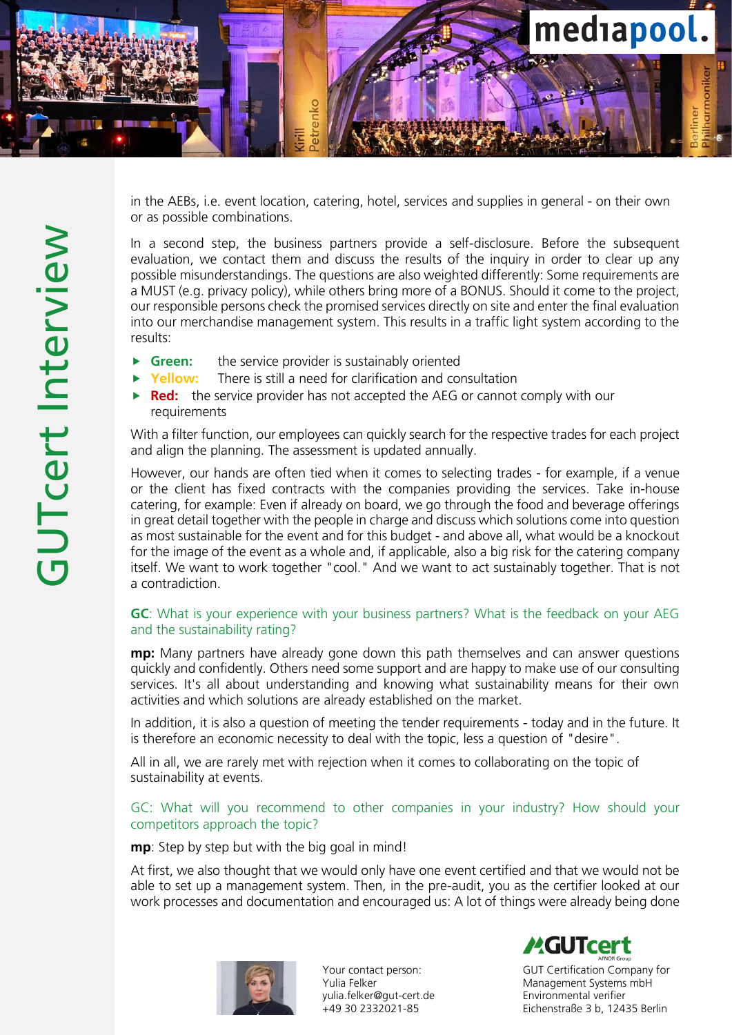

in the AEBs, i.e. event location, catering, hotel, services and supplies in general - on their own or as possible combinations.

In a second step, the business partners provide a self -disclosure. Before the subsequent evaluation, we contact them and discuss the results of the inquiry in order to clear up any possible misunderstandings. The questions are also weighted differently: Some requirements are a MUST (e.g. privacy policy), while others bring more of a BONUS. Should it come to the project, our responsible persons check the promised services directly on site and enter the final evaluation into our merchandise management system. This results in a traffic light system according to the results:

- **Green:** the service provider is sustainably oriented
- Yellow: There is still a need for clarification and consultation
- **Red:** the service provider has not accepted the AEG or cannot comply with our requirements

With a filter function, our employees can quickly search for the respective trades for each project and align the planning. The assessment is updated annually.

However, our hands are often tied when it comes to selecting trades - for example, if a venue or the client has fixed contracts with the companies providing the services. Take in -house catering, for example: Even if already on board, we go through the food and beverage offerings in great detail together with the people in charge and discuss which solutions come into question as most sustainable for the event and for this budget - and above all, what would be a knockout for the image of the event as a whole and, if applicable, also a big risk for the catering company itself. We want to work together "cool." And we want to act sustainably together. That is not a contradiction.

# GC: What is your experience with your business partners? What is the feedback on your AEG and the sustainability rating?

**mp:** Many partners have already gone down this path themselves and can answer questions quickly and confidently. Others need some support and are happy to make use of our consulting services. It's all about understanding and knowing what sustainability means for their own activities and which solutions are already established on the market.

In addition, it is also a question of meeting the tender requirements - today and in the future. It is therefore an economic necessity to deal with the topic, less a question of "desire".

All in all, we are rarely met with rejection when it comes to collaborating on the topic of sustainability at events.

# GC: What will you recommend to other companies in your industry? How should your competitors approach the topic?

mp: Step by step but with the big goal in mind!

At first, we also thought that we would only have one event certified and that we would not be able to set up a management system. Then, in the pre -audit, you as the certifier looked at our work processes and documentation and encouraged us: A lot of things were already being done



Your contact person: Yulia Felker yulia.felker@gut -cert.de +49 30 2332021 -85